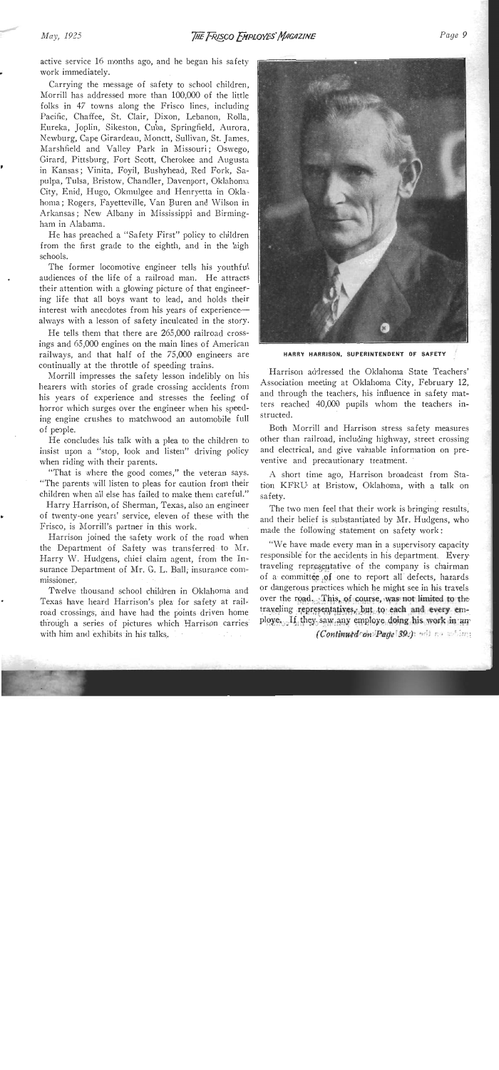active service 16 months ago, and he began his safety work immediately.

Carrying the message of safety to school children, Morrill has addressed more than 100,000 of the little folks in 47 towns along the Frisco lines, including Pacific, Chaffee, St. Clair, Dixon, Lebanon, Rolla, Eureka, Joplin, Silteston, Cuba, Springfield, Aurora, Newburg, Cape Girardeau, Monett, Sullivan, St. James, Marshfield and Valley Park in Missouri; Oswego, Girard, Pittsburg, Fort Scott, Cherokee and Augusta in Kansas; Vinita, Foyil, Bushyhead, Red Fork, Sapulpa, Tulsa, Bristow, Chandler, Davenport, Oklahoma City, Enid, Hugo, Okmulgee and Henryetta in Oklahoma; Rogers, Fayetteville, Van Buren and Wilson in Arkansas; New Albany in Mississippi and Birmingham in Alabama.

He has preached a "Safety First" policy to children from the first grade to the eighth, and in the high schools.

The former locomotive engineer tells his youthful audiences of the life of a railroad man. He attracts their attention with a glowing picture of that engineering life that all boys want to lead, and holds their interest with anecdotes from his years of experiencealways with a lesson of safety inculcated in the story.

He tells them that there are 265,000 railroad crossings and 65,000 engines on the main lines of American railways, and that half of the 75,000 engineers are continually at the throttle of speeding trains.

Morrill impresses the safety lesson indelibly on his hearers with stories of grade crossing accidents from his years of experience and stresses the feeling of horror which surges over the engineer when his speeding engine crushes to matchwood an automobile full of people.

He concludes his talk with a plea to the children to insist upon a "stop, look and listen" driving policy when riding with their parents.

"That is where the good comes," the veteran says. "The parents will listen to pleas for caution from their children when all else has failed to make them careful."

Harry Harrison, of Sherman, Texas, also an engineer of twenty-one years' service, eleven of these with the Frisco, is Morrill's partner in this work.

Harrison joined the safety work of the road when the Department of Safety was transferred to Mr. Harry **Mi.** Hudgens, chief claim agent, from the Insurance Department of Mr. G. L. Ball, insurance commissioner.

Twelve thousand school children in Oklahoma and Texas have heard Harrison's plea for safety at railroad crossings, and have had the points driven home through a series of pictures which Harrison carries with him and exhibits in his talks..



**HARRY HARRISON. SUPERINTENDENT OF SAFETY** 

Harrison addressed the Oklahoma State Teachers' Association meeting at Oklahoma City, February 12, and through the teachers, his influence in safety matters reached 40,000 pupils whom the teachers instructed.

Both Morrill and Harrison stress safety measures other than railroad, including highway, street crossing and electrical, and give valuable information on preventive and precautionary treatment.

**A** short time ago, Harrison broadcast from Station KFRU. at Bristow, Oklahoma, with a talk on safety.

The two men feel that their work is bringing results, and their belief is substantiated by Mr. Hudgens, who made the following statement on safety work:

"We have made every man in a supervisory capacity responsible for the accidents in his department. Every traveling representative of the company is chairman of a committee of one to report all defects, hazards or dangerous practices which he might see in his travels over the road. :This, of **course, was-not** limited to **the**  trading represqtatives;.but .to **each and every** employe,- **-If** . they- - sawany employe **doing** his **work** in-an.

. . *(Continuddron 'Page* **'39:)** '. '. '. **t** ,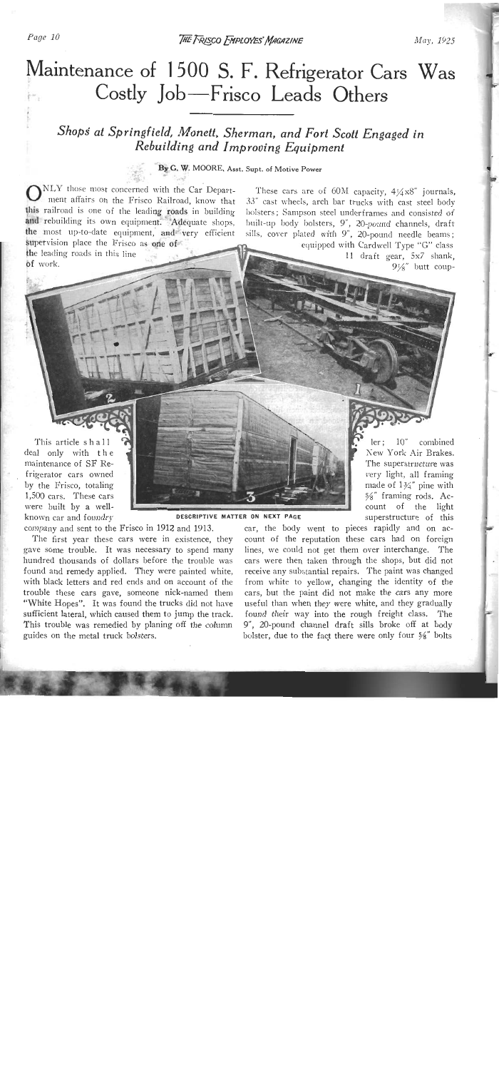# Maintenance of 1500 S. F. Refrigerator Cars Was Costly Job-Frisco Leads Others

## *Shopi at Springfield, Moneii, Sherman, and Fort Scott Engaged in Rebuilding and Improoing Equipment*

### **By C. W. MOORE. Asst. Supt. of Motive Power**

 $\sum_{\text{NLY}}$  those most concerned with the Car Depart-<br>ment affairs on the Frisco Railroad, know that 33" cast wheels, arch bar trucks with cast steel body ment affairs on the Frisco Railroad, know that this railroad is one of the leading roads in building bolsters; Sampson steel underframes and consisted of and rebuilding its own equipment. Adequate shops, built-up body bolsters, 9", 20-pound channels, draft

supervision place the Frisco as one of of work.

the most up-to-date equipment, and very efficient sills, cover plated with 9", 20-pound enannels, graft because rea with  $9$ ,  $20$ -pound needle beams;

equipped with Cardwell Type "G" class<br>11 draft gear, 5x7 shank,  $9\frac{1}{8}$ " butt coup-

> Ier ; 10" combined  $K = \frac{10}{100}$  combined. NEW TOIR AIL DIARES.  $\frac{1}{10}$  is appearant under was ery light, all framing **1800 01 194 pine with**  $\gamma_8$  training rous. Ac-

This article shall deal only with the maintenance of SF Refrigerator cars owned by the Frisco, totaling 1,500 cars. These cars were built bv a well-



company and sent to the Frisco in 1912 and 1913. car, the body went to pieces rapidly and on ac-

hundred thousands of dollars before the trouble was cars were then taken through the shops, but did not "White Hopes". It was found the trucks did not have useful than when they were white, and they gradually sufficient lateral, which caused them to jump the track. found their way into the rough freight class. The This trouble was remedied by planing off the column 9", 20-pound channel draft sills broke off at body guides on the metal truck bolsters.<br>bolster, due to the fact there were only four  $\frac{56}{8}$  bolsts

count of the reputation these cars had on foreign The first year these cars were in existence, they count of the reputation these cars had on foreign gave some trouble. It was necessary to spend many lines, we could not get them over interchange. The found a moderation and remediate the couple was cars were men taken imough the shops, but the notice ound and remedy applied. They were painted white, receive any substantial repairs. The paint was changed vitif black letters and red ends and on account of the 11 folli white to yenow, changing the identity of the rouble these cars gave, someone mex-hanned them cars, but the paint did not make the cars any more 9", 20-pound channel draft sills broke off at body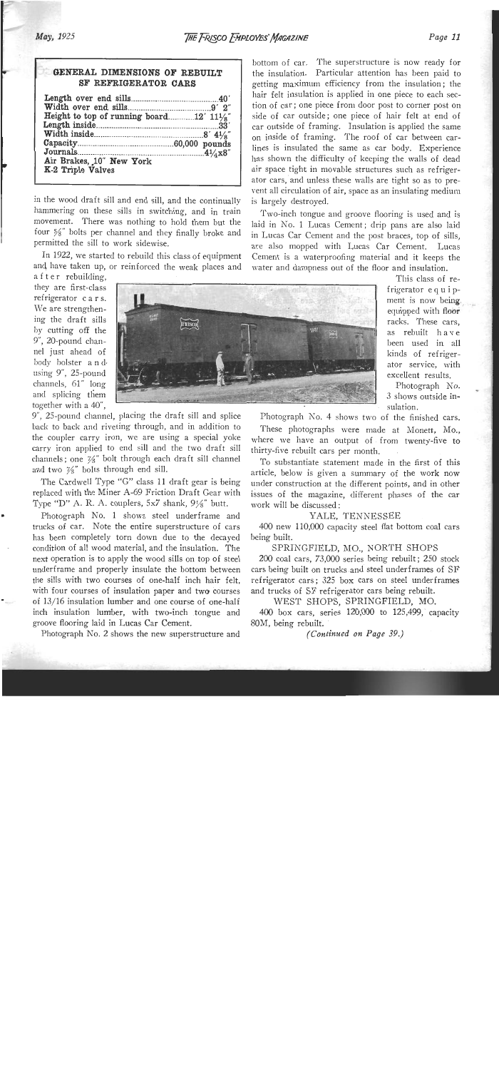This class of re-

| GENERAL DIMENSIONS OF REBUILT<br>SF REFRIGERATOR CARS                                                                           |  |
|---------------------------------------------------------------------------------------------------------------------------------|--|
| Height to top of running board 12' $11\frac{1}{8}$ "<br>Journals 2014 1/4 x 8"<br>Air Brakes, 10" New York<br>K-2 Triple Valves |  |

in the wood draft sill and end sill, and the continually hammering on these sills in switching, and in train movement. There was nothing to hold them but the four *S''* bolts per channel and they finally broke and permitted the sill to work sidewise.

In 1922, we started to rebuild this class of equipment and have taken up, or reinforced the weak places and bottom of car. The superstructure is now ready for the insulation. Particular attention has been paid to getting maximum efficiency from the insulation ; the hair felt insulation is applied in one piece to each section of car; one piece from door post to corner post on side of car outside; one piece of hair felt at end of car outside of framing. Insulation is applied the same on inside of framing. The roof of car between carlines is insulated the same as car body. Experience has shown the difficulty of keeping the walls of dead air space tight in movable structures such as refrigerator cars, and unless these walls are tight so as to prevent all circulation of air, space as an insulating medium is largely destroyed.

Two-inch tongue and groove flooring is used and is laid in No. 1 Lucas Cement; drip pans are also laid in Lucas Car Cement and the post braces, top of sills, are also mopped with Lucas Car Cement. Lucas Cement is a waterproofing material and it keeps the water and dampness out of the floor and insulation.

a f t e r rebuilding, they are first-class refrigerator c a r s. We are strengthenchannels, 61" long<br>and splicing them



9", 25-pound channel, placing the draft sill and splice back to back and riveting through, and in addition to the coupler carry iron, we are using a special yoke carry iron applied to end sill and the two draft sill channels; one  $\frac{76}{8}$ " bolt through each draft sill channel and two  $\frac{7}{8}$ " bolts through end sill.

The Cardwell Type "G" class 11 draft gear is being replaced with the Miner A-69 Friction Draft Gear with Type "D" A. R. A. couplers, 5x7 shank, 9%" butt.

Photograph No. 1 shows steel underframe and trucks of car. Note the entire superstructure of cars has been completely torn down due to the decayed condition of all wood material, and the insulation. The next operation is to apply the wood sills on top of steel underframe and properly insulate the bottom between the sills with two courses of one-half inch hair felt, with four courses of insulation paper and two courses of 13/16 insulation lumber and one course of one-half inch insulation lumber, with two-inch tongue and groove flooring laid in Lucas Car Cement.

Photograph No. 2 shows the new superstructure and

Photograph  $No. 4$  shows two of the finished cars.

These photographs were made at Monett, Mo., where we have an output of from twenty-five to thirty-five rebuilt cars per month.

To substantiate statement made in the first of this article, below is given a summary of the work now under construction at the different points, and in other issues of the magazine, different phases of the car work will be discussed :

#### YALE, TENNESSEE

400 new 110,000 capacity steel flat bottom coal cars being built.

#### SPRINGFIELD, MO., NORTH SHOPS

200 coal cars, 73,000 series heing rebuilt; 250 stock cars being built on trucks and steel underframes of SF refrigerator cars; 325 box cars on steel underframes and trucks of SF refrigerator cars being rebuilt.

WEST SHOPS, SPRINGFIELD, MO.

400 box cars, series 120,000 to 125,499, capacity 80M, being rebuilt.

(Continued on Page *39.)*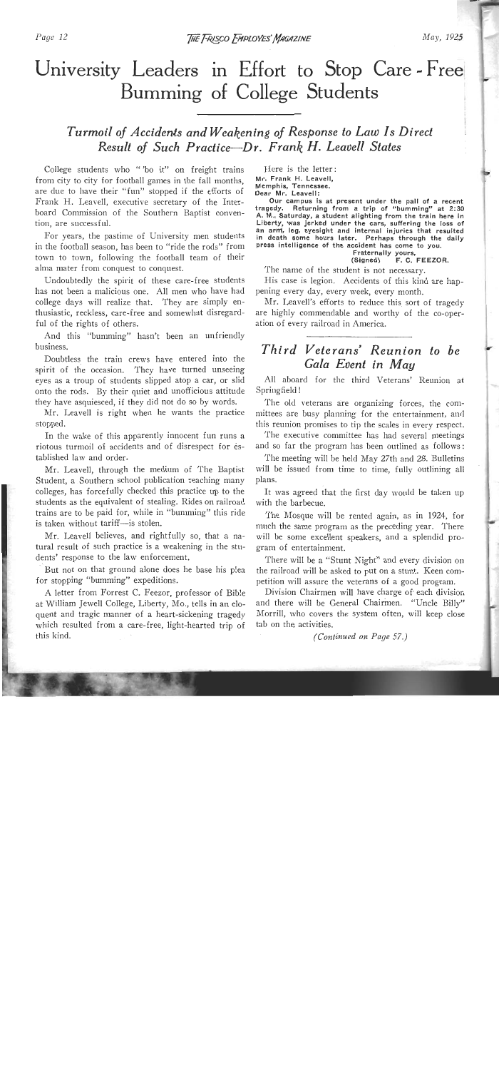## University Leaders in Effort to Stop Care - Free Bumming of College Students

### *Turmoil of Accideds and Weakening of Response to Law Is Direct Result of Such Practice-Dr. Frank H. Leadell States*

College students who " 'bo it" on freight trains from city to city for football games in the fall months, are due to have their "fun" stopped if the efforts of Frank H. Leavell, executive secretary of the Interboard Commission of the Southern Baptist convention, are successful.

For years, the pastime of University men students in the football season, has been to "ride the rods" from town to town, following the football team of their aha mater from conquest to conquest.

Undoubtedly the spirit of these care-free students has not been a malicious one. All men who have had college days will realize that. They are simply enthusiastic, reckless, care-free and somewhat disregardful of the rights of others.

And this "bumming" hasn't been an unfriendly business.

Doubtless the train crews have entered into the spirit of the occasion. They have turned unseeing eyes as a troup of students slipped atop a car, or slid onto the rods. By their quiet and unofficious attitude they have asquiesced, if they did not do so by words.

Mr. Learell is right when he wants the practicc stopped.

In the wake of this apparently innocent fun runs a riotous turmoil of accidents and of disrespect for established law and order.

Mr. Leavell, through the medium of The Baptist Student, a Southern school publication reaching many colleges, has forcefully checked this practice up to the students as the equivalent of stealing. Rides on railroad trains are to be paid for, while in "bumming" this ride is taken without tariff--is stolen.

Mr. Leavell believes, and rightfully so, that a natural result of such practice is a weakening in the students' response to the law enforcement.

But not on that ground alone does he base his plea for stopping "bumming" expeditions.

**A** letter from Forrest C. Feezor, professor of Bib!e at William Jewell College, Liberty, Mo., tells in an eloquent and tragic manner of a heart-sickening tragedy which resulted from a care-free, light-hearted trip of this kind.

Here is the letter: **Mr. Frank H. Leavell, Memphis, Tennessee. Dear Mr. Leavell:** 

**Our campus is at present under the pall of a recent**  tragedy. Returning from a trip of "bumming" at 2:30 **A. M., Saturday, a student alighting from the train here in Liberty, was Jerked under the cars, suffering the loss of an arw, leg, eyesight and internal injuries that resulted in death some hours later. Perhaps through the daily press intelligence of the accident has come to you.** 

#### **Fraternally yours, (Signed) F. C. FEEZOR.**

The name of the student is not necessary.

His case is legion. Accidents of this kind are happening every day, every week, every month.

Mr. Leavell's efforts to reduce this sort of tragedy are highly commendable and worthy of the co-operation of every railroad in America.

## *Third Veterans' Reunion to be*  Gala Event in May

All aboard for the third Veterans' Reunion at Springfield !

The old veterans are organizing forces, the committees are busy planning for the entertainment, and this reunion promises to tip the scales in every respect.

The executive committee has had several meetings and so far the program has been outlined as follows:

The meeting will be held May 27th and 28. Bulletins will be issued from time to time, fully outlining all plans.

It was agreed that the first day would be taken up with the barbecue.

The Mosque will be rented again, as in 1924, for much the same program as the preceding year. There will be some excellent speakers, and a splendid program of entertainment.

There will be a "Stunt Night" and every division on the railroad will be asked to put on a stunt. Keen competition will assure the veterans of a good program.

Division Chairmen will have charge of' each division and there will be General Chairmen. "Uncle Billy" Morrill, who covers the system often, will keep close tab on the activities.

*(Continued on Page 57.)*